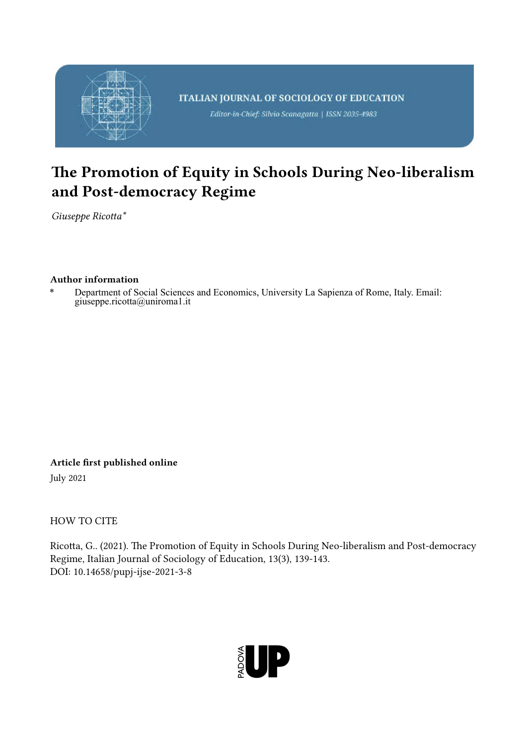

## The Promotion of Equity in Schools During Neo-liberalism and Post-democracy Regime

*Giuseppe Ricotta\**

## Author information

Department of Social Sciences and Economics, University La Sapienza of Rome, Italy. Email: giuseppe.ricotta@uniroma1.it

Article first published online July 2021

HOW TO CITE

Ricotta, G.. (2021). The Promotion of Equity in Schools During Neo-liberalism and Post-democracy Regime, Italian Journal of Sociology of Education, 13(3), 139-143. DOI: 10.14658/pupj-ijse-2021-3-8

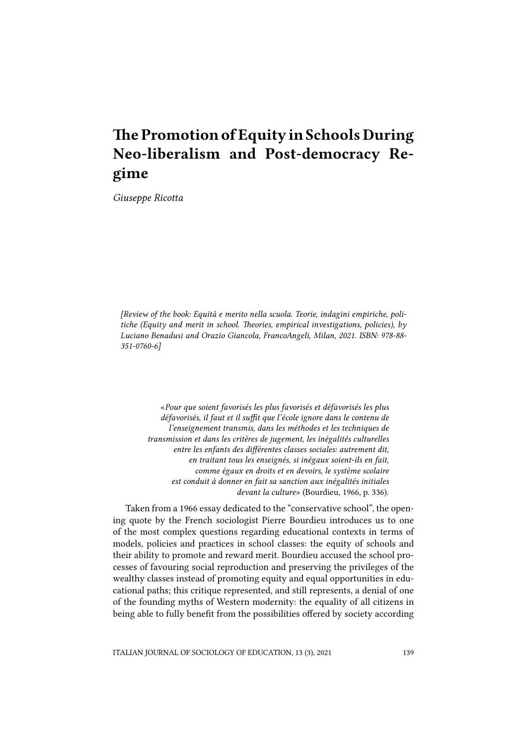## The Promotion of Equity in Schools During Neo-liberalism and Post-democracy Regime

*Giuseppe Ricotta*

*[Review of the book: Equità e merito nella scuola. Teorie, indagini empiriche, politiche (Equity and merit in school. Theories, empirical investigations, policies), by Luciano Benadusi and Orazio Giancola, FrancoAngeli, Milan, 2021. ISBN: 978-88- 351-0760-6]*

«*Pour que soient favorisés les plus favorisés et défavorisés les plus défavorisés, il faut et il suffit que l'école ignore dans le contenu de l'enseignement transmis, dans les méthodes et les techniques de transmission et dans les critères de jugement, les inégalités culturelles entre les enfants des différentes classes sociales: autrement dit, en traitant tous les enseignés, si inégaux soient-ils en fait, comme égaux en droits et en devoirs, le système scolaire est conduit à donner en fait sa sanction aux inégalités initiales devant la culture*» (Bourdieu, 1966, p. 336).

Taken from a 1966 essay dedicated to the "conservative school", the opening quote by the French sociologist Pierre Bourdieu introduces us to one of the most complex questions regarding educational contexts in terms of models, policies and practices in school classes: the equity of schools and their ability to promote and reward merit. Bourdieu accused the school processes of favouring social reproduction and preserving the privileges of the wealthy classes instead of promoting equity and equal opportunities in educational paths; this critique represented, and still represents, a denial of one of the founding myths of Western modernity: the equality of all citizens in being able to fully benefit from the possibilities offered by society according

ITALIAN JOURNAL OF SOCIOLOGY OF EDUCATION, 13 (3), 2021 139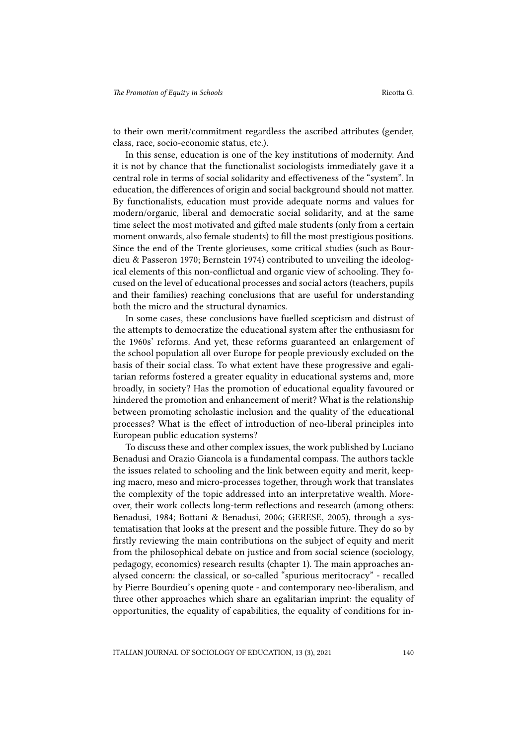to their own merit/commitment regardless the ascribed attributes (gender, class, race, socio-economic status, etc.).

In this sense, education is one of the key institutions of modernity. And it is not by chance that the functionalist sociologists immediately gave it a central role in terms of social solidarity and effectiveness of the "system". In education, the differences of origin and social background should not matter. By functionalists, education must provide adequate norms and values for modern/organic, liberal and democratic social solidarity, and at the same time select the most motivated and gifted male students (only from a certain moment onwards, also female students) to fill the most prestigious positions. Since the end of the Trente glorieuses, some critical studies (such as Bourdieu & Passeron 1970; Bernstein 1974) contributed to unveiling the ideological elements of this non-conflictual and organic view of schooling. They focused on the level of educational processes and social actors (teachers, pupils and their families) reaching conclusions that are useful for understanding both the micro and the structural dynamics.

In some cases, these conclusions have fuelled scepticism and distrust of the attempts to democratize the educational system after the enthusiasm for the 1960s' reforms. And yet, these reforms guaranteed an enlargement of the school population all over Europe for people previously excluded on the basis of their social class. To what extent have these progressive and egalitarian reforms fostered a greater equality in educational systems and, more broadly, in society? Has the promotion of educational equality favoured or hindered the promotion and enhancement of merit? What is the relationship between promoting scholastic inclusion and the quality of the educational processes? What is the effect of introduction of neo-liberal principles into European public education systems?

To discuss these and other complex issues, the work published by Luciano Benadusi and Orazio Giancola is a fundamental compass. The authors tackle the issues related to schooling and the link between equity and merit, keeping macro, meso and micro-processes together, through work that translates the complexity of the topic addressed into an interpretative wealth. Moreover, their work collects long-term reflections and research (among others: Benadusi, 1984; Bottani & Benadusi, 2006; GERESE, 2005), through a systematisation that looks at the present and the possible future. They do so by firstly reviewing the main contributions on the subject of equity and merit from the philosophical debate on justice and from social science (sociology, pedagogy, economics) research results (chapter 1). The main approaches analysed concern: the classical, or so-called "spurious meritocracy" - recalled by Pierre Bourdieu's opening quote - and contemporary neo-liberalism, and three other approaches which share an egalitarian imprint: the equality of opportunities, the equality of capabilities, the equality of conditions for in-

ITALIAN JOURNAL OF SOCIOLOGY OF EDUCATION, 13 (3), 2021 140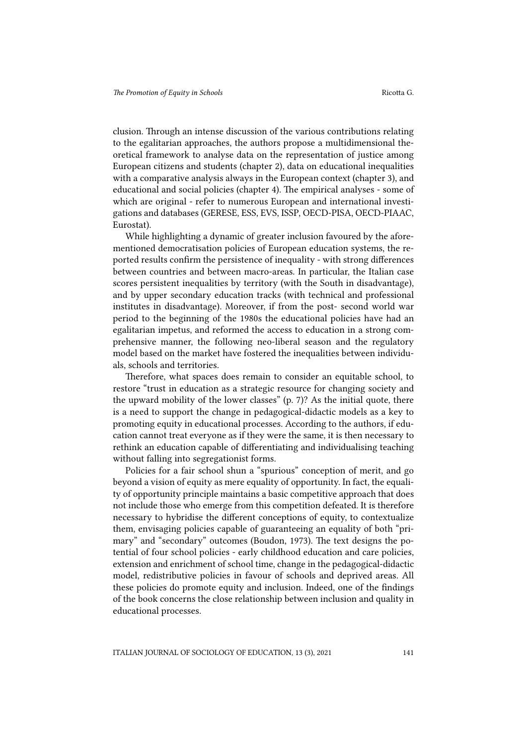clusion. Through an intense discussion of the various contributions relating to the egalitarian approaches, the authors propose a multidimensional theoretical framework to analyse data on the representation of justice among European citizens and students (chapter 2), data on educational inequalities with a comparative analysis always in the European context (chapter 3), and educational and social policies (chapter 4). The empirical analyses - some of which are original - refer to numerous European and international investigations and databases (GERESE, ESS, EVS, ISSP, OECD-PISA, OECD-PIAAC, Eurostat).

While highlighting a dynamic of greater inclusion favoured by the aforementioned democratisation policies of European education systems, the reported results confirm the persistence of inequality - with strong differences between countries and between macro-areas. In particular, the Italian case scores persistent inequalities by territory (with the South in disadvantage), and by upper secondary education tracks (with technical and professional institutes in disadvantage). Moreover, if from the post- second world war period to the beginning of the 1980s the educational policies have had an egalitarian impetus, and reformed the access to education in a strong comprehensive manner, the following neo-liberal season and the regulatory model based on the market have fostered the inequalities between individuals, schools and territories.

Therefore, what spaces does remain to consider an equitable school, to restore "trust in education as a strategic resource for changing society and the upward mobility of the lower classes" (p. 7)? As the initial quote, there is a need to support the change in pedagogical-didactic models as a key to promoting equity in educational processes. According to the authors, if education cannot treat everyone as if they were the same, it is then necessary to rethink an education capable of differentiating and individualising teaching without falling into segregationist forms.

Policies for a fair school shun a "spurious" conception of merit, and go beyond a vision of equity as mere equality of opportunity. In fact, the equality of opportunity principle maintains a basic competitive approach that does not include those who emerge from this competition defeated. It is therefore necessary to hybridise the different conceptions of equity, to contextualize them, envisaging policies capable of guaranteeing an equality of both "primary" and "secondary" outcomes (Boudon, 1973). The text designs the potential of four school policies - early childhood education and care policies, extension and enrichment of school time, change in the pedagogical-didactic model, redistributive policies in favour of schools and deprived areas. All these policies do promote equity and inclusion. Indeed, one of the findings of the book concerns the close relationship between inclusion and quality in educational processes.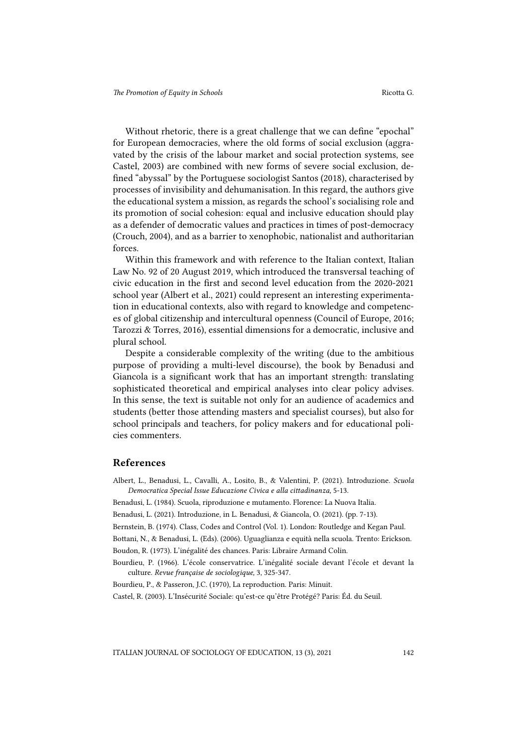Without rhetoric, there is a great challenge that we can define "epochal" for European democracies, where the old forms of social exclusion (aggravated by the crisis of the labour market and social protection systems, see Castel, 2003) are combined with new forms of severe social exclusion, defined "abyssal" by the Portuguese sociologist Santos (2018), characterised by processes of invisibility and dehumanisation. In this regard, the authors give the educational system a mission, as regards the school's socialising role and its promotion of social cohesion: equal and inclusive education should play as a defender of democratic values and practices in times of post-democracy (Crouch, 2004), and as a barrier to xenophobic, nationalist and authoritarian forces.

Within this framework and with reference to the Italian context, Italian Law No. 92 of 20 August 2019, which introduced the transversal teaching of civic education in the first and second level education from the 2020-2021 school year (Albert et al., 2021) could represent an interesting experimentation in educational contexts, also with regard to knowledge and competences of global citizenship and intercultural openness (Council of Europe, 2016; Tarozzi & Torres, 2016), essential dimensions for a democratic, inclusive and plural school.

Despite a considerable complexity of the writing (due to the ambitious purpose of providing a multi-level discourse), the book by Benadusi and Giancola is a significant work that has an important strength: translating sophisticated theoretical and empirical analyses into clear policy advises. In this sense, the text is suitable not only for an audience of academics and students (better those attending masters and specialist courses), but also for school principals and teachers, for policy makers and for educational policies commenters.

## References

- Albert, L., Benadusi, L., Cavalli, A., Losito, B., & Valentini, P. (2021). Introduzione. *Scuola Democratica Special Issue Educazione Civica e alla cittadinanza,* 5-13.
- Benadusi, L. (1984). Scuola, riproduzione e mutamento. Florence: La Nuova Italia.
- Benadusi, L. (2021). Introduzione, in L. Benadusi, & Giancola, O. (2021). (pp. 7-13).
- Bernstein, B. (1974). Class, Codes and Control (Vol. 1). London: Routledge and Kegan Paul.
- Bottani, N., & Benadusi, L. (Eds). (2006). Uguaglianza e equità nella scuola. Trento: Erickson.

Boudon, R. (1973). L'inégalité des chances. Paris: Libraire Armand Colin.

Bourdieu, P. (1966). L'école conservatrice. L'inégalité sociale devant l'école et devant la culture. *Revue française de sociologique,* 3, 325-347.

Bourdieu, P., & Passeron, J.C. (1970), La reproduction. Paris: Minuit.

Castel, R. (2003). L'Insécurité Sociale: qu'est‐ce qu'être Protégé? Paris: Éd. du Seuil.

ITALIAN JOURNAL OF SOCIOLOGY OF EDUCATION, 13 (3), 2021 142